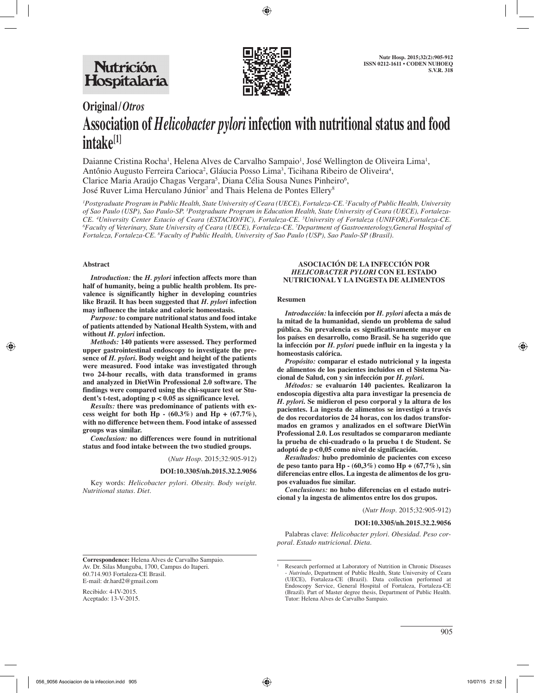

# **Original/***Otros* **Association of** *Helicobacter pylori* **infection with nutritional status and food intake[1]**

Daianne Cristina Rocha<sup>1</sup>, Helena Alves de Carvalho Sampaio<sup>1</sup>, José Wellington de Oliveira Lima<sup>1</sup>, Antônio Augusto Ferreira Carioca<sup>2</sup>, Gláucia Posso Lima<sup>3</sup>, Ticihana Ribeiro de Oliveira<sup>4</sup>, Clarice Maria Araújo Chagas Vergara<sup>5</sup>, Diana Célia Sousa Nunes Pinheiro<sup>6</sup>, José Ruver Lima Herculano Júnior<sup>7</sup> and Thais Helena de Pontes Ellery<sup>8</sup>

*1 Postgraduate Program in Public Health, State University of Ceara (UECE), Fortaleza-CE. 2 Faculty of Public Health, University of Sao Paulo (USP), Sao Paulo-SP. 3 Postgraduate Program in Education Health, State University of Ceara (UECE), Fortaleza-*CE. <sup>4</sup>University Center Estacio of Ceara (ESTACIO/FIC), Fortaleza-CE. <sup>5</sup>University of Fortaleza (UNIFOR),Fortaleza-CE.<br><sup>6</sup>Eaculty of Veterinary State University of Ceara (UECE), Fortaleza-CE. <sup>7</sup>Denartment of Gastroenter *Faculty of Veterinary, State University of Ceara (UECE), Fortaleza-CE. 7 Department of Gastroenterology,General Hospital of Fortaleza, Fortaleza-CE. 8 Faculty of Public Health, University of Sao Paulo (USP), Sao Paulo-SP (Brasil).*

#### **Abstract**

*Introduction:* **the** *H. pylori* **infection affects more than half of humanity, being a public health problem. Its prevalence is significantly higher in developing countries like Brazil. It has been suggested that** *H. pylori* **infection may influence the intake and caloric homeostasis.**

*Purpose:* **to compare nutritional status and food intake of patients attended by National Health System, with and without** *H. pylori* **infection.**

*Methods:* **140 patients were assessed. They performed upper gastrointestinal endoscopy to investigate the presence of** *H. pylori***. Body weight and height of the patients were measured. Food intake was investigated through two 24-hour recalls, with data transformed in grams and analyzed in DietWin Professional 2.0 software. The findings were compared using the chi-square test or Student's t-test, adopting p < 0.05 as significance level.**

*Results:* **there was predominance of patients with excess weight for both Hp - (60.3%) and Hp + (67.7%), with no difference between them. Food intake of assessed groups was similar.**

*Conclusion:* **no differences were found in nutritional status and food intake between the two studied groups.**

#### (*Nutr Hosp.* 2015;32:905-912)

#### **DOI:10.3305/nh.2015.32.2.9056**

Key words: *Helicobacter pylori. Obesity. Body weight. Nutritional status. Diet.*

#### **ASOCIACIÓN DE LA INFECCIÓN POR**  *HELICOBACTER PYLORI* **CON EL ESTADO NUTRICIONAL Y LA INGESTA DE ALIMENTOS**

#### **Resumen**

*Introducción:* **la infección por** *H. pylori* **afecta a más de la mitad de la humanidad, siendo un problema de salud pública. Su prevalencia es significativamente mayor en los países en desarrollo, como Brasil. Se ha sugerido que la infección por** *H. pylori* **puede influir en la ingesta y la homeostasis calórica.**

*Propósito:* **comparar el estado nutricional y la ingesta de alimentos de los pacientes incluidos en el Sistema Nacional de Salud, con y sin infección por** *H. pylori***.**

*Métodos:* **se evaluarón 140 pacientes. Realizaron la endoscopia digestiva alta para investigar la presencia de**  *H. pylori***. Se midieron el peso corporal y la altura de los pacientes. La ingesta de alimentos se investigó a través de dos recordatorios de 24 horas, con los dados transformados en gramos y analizados en el software DietWin Professional 2.0. Los resultados se compararon mediante la prueba de chi-cuadrado o la prueba t de Student. Se adoptó de p<0,05 como nivel de significación.**

*Resultados:* **hubo predominio de pacientes con exceso de peso tanto para Hp - (60,3%) como Hp + (67,7%), sin diferencias entre ellos. La ingesta de alimentos de los grupos evaluados fue similar.**

*Conclusiones:* **no hubo diferencias en el estado nutricional y la ingesta de alimentos entre los dos grupos.**

(*Nutr Hosp.* 2015;32:905-912)

#### **DOI:10.3305/nh.2015.32.2.9056**

Palabras clave: *Helicobacter pylori. Obesidad. Peso corporal. Estado nutricional. Dieta.*

**Correspondence:** Helena Alves de Carvalho Sampaio. Av. Dr. Silas Munguba, 1700, Campus do Itaperi. 60.714.903 Fortaleza-CE Brasil. E-mail: dr.hard2@gmail.com

Recibido: 4-IV-2015. Aceptado: 13-V-2015.

<sup>1</sup> Research performed at Laboratory of Nutrition in Chronic Diseases - *Nutrindo*, Department of Public Health, State University of Ceara (UECE), Fortaleza-CE (Brazil). Data collection performed at Endoscopy Service, General Hospital of Fortaleza, Fortaleza-CE (Brazil). Part of Master degree thesis, Department of Public Health. Tutor: Helena Alves de Carvalho Sampaio.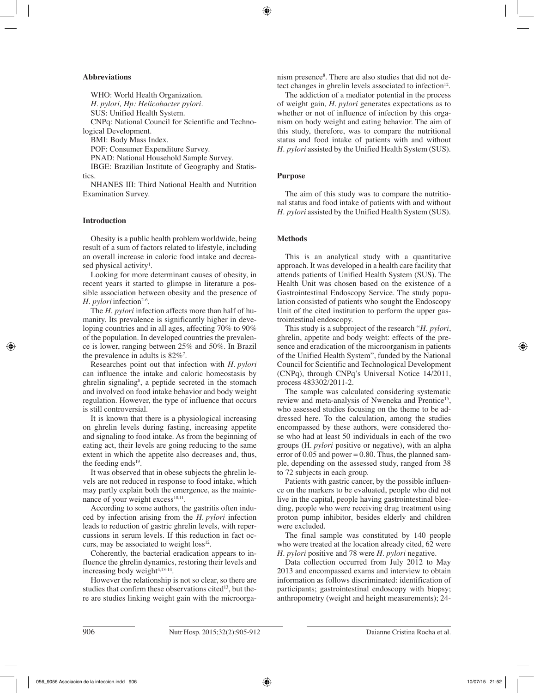## **Abbreviations**

WHO: World Health Organization. *H. pylori, Hp: Helicobacter pylori.*

SUS: Unified Health System.

CNPq: National Council for Scientific and Technological Development.

BMI: Body Mass Index.

POF: Consumer Expenditure Survey.

PNAD: National Household Sample Survey.

IBGE: Brazilian Institute of Geography and Statistics.

NHANES III: Third National Health and Nutrition Examination Survey.

# **Introduction**

Obesity is a public health problem worldwide, being result of a sum of factors related to lifestyle, including an overall increase in caloric food intake and decreased physical activity<sup>1</sup>.

Looking for more determinant causes of obesity, in recent years it started to glimpse in literature a possible association between obesity and the presence of *H. pylori* infection<sup>2-6</sup>.

The *H. pylori* infection affects more than half of humanity. Its prevalence is significantly higher in developing countries and in all ages, affecting 70% to 90% of the population. In developed countries the prevalence is lower, ranging between 25% and 50%. In Brazil the prevalence in adults is  $82\%$ <sup>7</sup>.

Researches point out that infection with *H. pylori* can influence the intake and caloric homeostasis by ghrelin signaling<sup>8</sup>, a peptide secreted in the stomach and involved on food intake behavior and body weight regulation. However, the type of influence that occurs is still controversial.

It is known that there is a physiological increasing on ghrelin levels during fasting, increasing appetite and signaling to food intake. As from the beginning of eating act, their levels are going reducing to the same extent in which the appetite also decreases and, thus, the feeding ends<sup>19</sup>.

It was observed that in obese subjects the ghrelin levels are not reduced in response to food intake, which may partly explain both the emergence, as the maintenance of your weight  $excess<sup>10,11</sup>$ .

According to some authors, the gastritis often induced by infection arising from the *H. pylori* infection leads to reduction of gastric ghrelin levels, with repercussions in serum levels. If this reduction in fact occurs, may be associated to weight  $loss<sup>12</sup>$ .

Coherently, the bacterial eradication appears to influence the ghrelin dynamics, restoring their levels and increasing body weight $4,13-14$ .

However the relationship is not so clear, so there are studies that confirm these observations cited<sup>13</sup>, but there are studies linking weight gain with the microorga-

nism presence<sup>8</sup>. There are also studies that did not detect changes in ghrelin levels associated to infection<sup>12</sup>.

The addiction of a mediator potential in the process of weight gain, *H. pylori* generates expectations as to whether or not of influence of infection by this organism on body weight and eating behavior. The aim of this study, therefore, was to compare the nutritional status and food intake of patients with and without *H. pylori* assisted by the Unified Health System (SUS).

# **Purpose**

The aim of this study was to compare the nutritional status and food intake of patients with and without *H. pylori* assisted by the Unified Health System (SUS).

# **Methods**

This is an analytical study with a quantitative approach. It was developed in a health care facility that attends patients of Unified Health System (SUS). The Health Unit was chosen based on the existence of a Gastrointestinal Endoscopy Service. The study population consisted of patients who sought the Endoscopy Unit of the cited institution to perform the upper gastrointestinal endoscopy.

This study is a subproject of the research "*H. pylori*, ghrelin, appetite and body weight: effects of the presence and eradication of the microorganism in patients of the Unified Health System", funded by the National Council for Scientific and Technological Development (CNPq), through CNPq's Universal Notice 14/2011, process 483302/2011-2.

The sample was calculated considering systematic review and meta-analysis of Nweneka and Prentice15, who assessed studies focusing on the theme to be addressed here. To the calculation, among the studies encompassed by these authors, were considered those who had at least 50 individuals in each of the two groups (H*. pylori* positive or negative), with an alpha error of  $0.05$  and power = 0.80. Thus, the planned sample, depending on the assessed study, ranged from 38 to 72 subjects in each group.

Patients with gastric cancer, by the possible influence on the markers to be evaluated, people who did not live in the capital, people having gastrointestinal bleeding, people who were receiving drug treatment using proton pump inhibitor, besides elderly and children were excluded.

The final sample was constituted by 140 people who were treated at the location already cited, 62 were *H. pylori* positive and 78 were *H. pylori* negative.

Data collection occurred from July 2012 to May 2013 and encompassed exams and interview to obtain information as follows discriminated: identification of participants; gastrointestinal endoscopy with biopsy; anthropometry (weight and height measurements); 24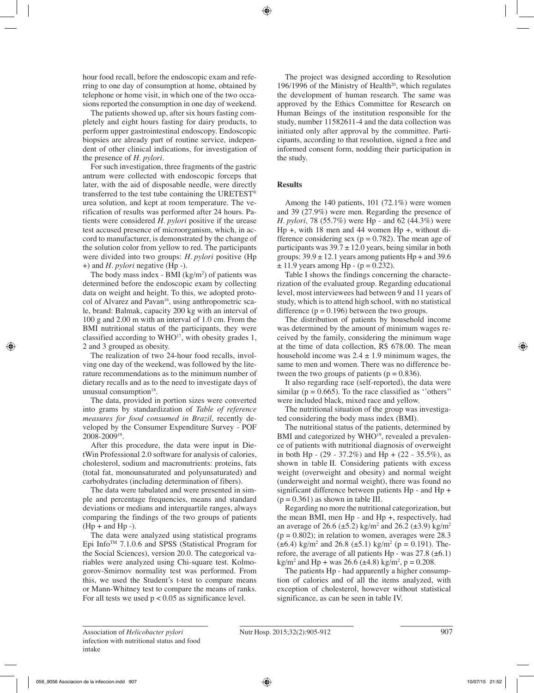hour food recall, before the endoscopic exam and referring to one day of consumption at home, obtained by telephone or home visit, in which one of the two occasions reported the consumption in one day of weekend.

The patients showed up, after six hours fasting completely and eight hours fasting for dairy products, to perform upper gastrointestinal endoscopy. Endoscopic biopsies are already part of routine service, independent of other clinical indications, for investigation of the presence of *H. pylori*.

For such investigation, three fragments of the gastric antrum were collected with endoscopic forceps that later, with the aid of disposable needle, were directly transferred to the test tube containing the URETEST® urea solution, and kept at room temperature. The verification of results was performed after 24 hours. Patients were considered *H. pylori* positive if the urease test accused presence of microorganism, which, in accord to manufacturer, is demonstrated by the change of the solution color from yellow to red. The participants were divided into two groups: *H. pylori* positive (Hp +) and *H. pylori* negative (Hp -).

The body mass index -  $BMI (kg/m<sup>2</sup>)$  of patients was determined before the endoscopic exam by collecting data on weight and height. To this, we adopted protocol of Alvarez and Pavan<sup>16</sup>, using anthropometric scale, brand: Balmak, capacity 200 kg with an interval of 100 g and 2.00 m with an interval of 1.0 cm. From the BMI nutritional status of the participants, they were classified according to  $WHO^{17}$ , with obesity grades 1, 2 and 3 grouped as obesity.

The realization of two 24-hour food recalls, involving one day of the weekend, was followed by the literature recommendations as to the minimum number of dietary recalls and as to the need to investigate days of unusual consumption $18$ .

The data, provided in portion sizes were converted into grams by standardization of *Table of reference measures for food consumed in Brazil*, recently developed by the Consumer Expenditure Survey - POF 2008-200919.

After this procedure, the data were input in DietWin Professional 2.0 software for analysis of calories, cholesterol, sodium and macronutrients: proteins, fats (total fat, monounsaturated and polyunsaturated) and carbohydrates (including determination of fibers).

The data were tabulated and were presented in simple and percentage frequencies, means and standard deviations or medians and interquartile ranges, always comparing the findings of the two groups of patients  $(Hp + and Hp -).$ 

The data were analyzed using statistical programs Epi Info<sup>TM</sup> 7.1.0.6 and SPSS (Statistical Program for the Social Sciences), version 20.0. The categorical variables were analyzed using Chi-square test. Kolmogorov-Smirnov normality test was performed. From this, we used the Student's t-test to compare means or Mann-Whitney test to compare the means of ranks. For all tests we used  $p < 0.05$  as significance level.

The project was designed according to Resolution 196/1996 of the Ministry of Health<sup>20</sup>, which regulates the development of human research. The same was approved by the Ethics Committee for Research on Human Beings of the institution responsible for the study, number 11582611-4 and the data collection was initiated only after approval by the committee. Participants, according to that resolution, signed a free and informed consent form, nodding their participation in the study.

# **Results**

Among the 140 patients, 101 (72.1%) were women and 39 (27.9%) were men. Regarding the presence of *H. pylori*, 78 (55.7%) were Hp - and 62 (44.3%) were Hp +, with 18 men and 44 women Hp +, without difference considering sex ( $p = 0.782$ ). The mean age of participants was  $39.7 \pm 12.0$  years, being similar in both groups:  $39.9 \pm 12.1$  years among patients Hp + and 39.6  $± 11.9$  years among Hp - (p = 0.232).

Table I shows the findings concerning the characterization of the evaluated group. Regarding educational level, most interviewees had between 9 and 11 years of study, which is to attend high school, with no statistical difference  $(p = 0.196)$  between the two groups.

The distribution of patients by household income was determined by the amount of minimum wages received by the family, considering the minimum wage at the time of data collection, R\$ 678.00. The mean household income was  $2.4 \pm 1.9$  minimum wages, the same to men and women. There was no difference between the two groups of patients ( $p = 0.836$ ).

It also regarding race (self-reported), the data were similar ( $p = 0.665$ ). To the race classified as "others" were included black, mixed race and yellow.

The nutritional situation of the group was investigated considering the body mass index (BMI).

The nutritional status of the patients, determined by BMI and categorized by WHO<sup>19</sup>, revealed a prevalence of patients with nutritional diagnosis of overweight in both Hp -  $(29 - 37.2\%)$  and Hp +  $(22 - 35.5\%)$ , as shown in table II. Considering patients with excess weight (overweight and obesity) and normal weight (underweight and normal weight), there was found no significant difference between patients Hp - and Hp +  $(p = 0.361)$  as shown in table III.

Regarding no more the nutritional categorization, but the mean BMI, men Hp - and Hp +, respectively, had an average of 26.6 ( $\pm$ 5.2) kg/m<sup>2</sup> and 26.2 ( $\pm$ 3.9) kg/m<sup>2</sup>  $(p = 0.802)$ ; in relation to women, averages were 28.3  $(\pm 6.4)$  kg/m<sup>2</sup> and 26.8  $(\pm 5.1)$  kg/m<sup>2</sup> (p = 0.191). Therefore, the average of all patients Hp - was  $27.8 \ (\pm 6.1)$  $\text{kg/m}^2$  and Hp + was 26.6 ( $\pm$ 4.8) kg/m<sup>2</sup>, p = 0.208.

The patients Hp - had apparently a higher consumption of calories and of all the items analyzed, with exception of cholesterol, however without statistical significance, as can be seen in table IV.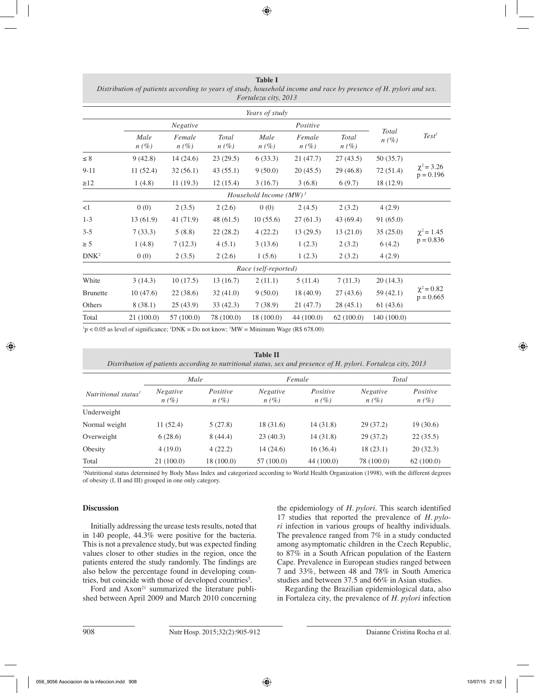**Table I** *Distribution of patients according to years of study, household income and race by presence of H. pylori and sex. Fortaleza city, 2013*

|                           |                      |                   |                         | Years of study  |                   |                  |                         |                                |  |  |
|---------------------------|----------------------|-------------------|-------------------------|-----------------|-------------------|------------------|-------------------------|--------------------------------|--|--|
|                           | Negative             |                   |                         |                 | Positive          |                  |                         |                                |  |  |
|                           | Male<br>$n(\%)$      | Female<br>$n(\%)$ | <b>Total</b><br>$n(\%)$ | Male<br>$n(\%)$ | Female<br>$n(\%)$ | Total<br>$n(\%)$ | <b>Total</b><br>$n(\%)$ | Test <sup>1</sup>              |  |  |
| $\leq 8$                  | 9(42.8)              | 14(24.6)          | 23(29.5)                | 6(33.3)         | 21(47.7)          | 27(43.5)         | 50 (35.7)               |                                |  |  |
| $9 - 11$                  | 11(52.4)             | 32(56.1)          | 43(55.1)                | 9(50.0)         | 20(45.5)          | 29(46.8)         | 72(51.4)                | $\chi^2$ = 3.26<br>$p = 0.196$ |  |  |
| $\geq$ 12                 | 1(4.8)               | 11(19.3)          | 12(15.4)                | 3(16.7)         | 3(6.8)            | 6(9.7)           | 18 (12.9)               |                                |  |  |
| Household Income $(MW)^3$ |                      |                   |                         |                 |                   |                  |                         |                                |  |  |
| <1                        | 0(0)                 | 2(3.5)            | 2(2.6)                  | 0(0)            | 2(4.5)            | 2(3.2)           | 4(2.9)                  |                                |  |  |
| $1 - 3$                   | 13(61.9)             | 41(71.9)          | 48 (61.5)               | 10(55.6)        | 27(61.3)          | 43 (69.4)        | 91(65.0)                |                                |  |  |
| $3 - 5$                   | 7(33.3)              | 5(8.8)            | 22(28.2)                | 4(22.2)         | 13(29.5)          | 13(21.0)         | 35(25.0)                | $\chi^2$ = 1.45                |  |  |
| $\geq$ 5                  | 1(4.8)               | 7(12.3)           | 4(5.1)                  | 3(13.6)         | 1(2.3)            | 2(3.2)           | 6(4.2)                  | $p = 0.836$                    |  |  |
| $DNK^2$                   | 0(0)                 | 2(3.5)            | 2(2.6)                  | 1(5.6)          | 1(2.3)            | 2(3.2)           | 4(2.9)                  |                                |  |  |
|                           | Race (self-reported) |                   |                         |                 |                   |                  |                         |                                |  |  |
| White                     | 3(14.3)              | 10(17.5)          | 13(16.7)                | 2(11.1)         | 5(11.4)           | 7(11.3)          | 20(14.3)                |                                |  |  |
| <b>Brunette</b>           | 10(47.6)             | 22(38.6)          | 32(41.0)                | 9(50.0)         | 18 (40.9)         | 27(43.6)         | 59 (42.1)               | $\chi^2$ = 0.82<br>$p = 0.665$ |  |  |
| Others                    | 8(38.1)              | 25(43.9)          | 33(42.3)                | 7(38.9)         | 21 (47.7)         | 28(45.1)         | 61 (43.6)               |                                |  |  |
| Total                     | 21(100.0)            | 57(100.0)         | 78 (100.0)              | 18(100.0)       | 44 (100.0)        | 62(100.0)        | 140 (100.0)             |                                |  |  |

 $\text{h}$   $\sim$  0.05 as level of significance;  $\text{2DNK} = \text{Do not know; } \text{3MW} = \text{Minimum Wave}$  (R\$ 678.00)

|                                 |                            |                     | <b>Table II</b><br>Distribution of patients according to nutritional status, sex and presence of H. pylori. Fortaleza city, 2013 |                     |                            |                     |
|---------------------------------|----------------------------|---------------------|----------------------------------------------------------------------------------------------------------------------------------|---------------------|----------------------------|---------------------|
|                                 |                            | Male                |                                                                                                                                  | Female              | Total                      |                     |
| Nutritional status <sup>1</sup> | <b>Negative</b><br>$n(\%)$ | Positive<br>$n(\%)$ | <b>Negative</b><br>$n(\%)$                                                                                                       | Positive<br>$n(\%)$ | <b>Negative</b><br>$n(\%)$ | Positive<br>$n(\%)$ |
| Underweight                     |                            |                     |                                                                                                                                  |                     |                            |                     |
| Normal weight                   | 11(52.4)                   | 5(27.8)             | 18 (31.6)                                                                                                                        | 14(31.8)            | 29(37.2)                   | 19(30.6)            |
| Overweight                      | 6(28.6)                    | 8(44.4)             | 23(40.3)                                                                                                                         | 14(31.8)            | 29(37.2)                   | 22(35.5)            |
| Obesity                         | 4(19.0)                    | 4(22.2)             | 14(24.6)                                                                                                                         | 16(36.4)            | 18(23.1)                   | 20(32.3)            |
| Total                           | 21(100.0)                  | 18(100.0)           | 57 (100.0)                                                                                                                       | 44 (100.0)          | 78 (100.0)                 | 62(100.0)           |

1 Nutritional status determined by Body Mass Index and categorized according to World Health Organization (1998), with the different degrees of obesity (I, II and III) grouped in one only category.

# **Discussion**

Initially addressing the urease tests results, noted that in 140 people, 44.3% were positive for the bacteria. This is not a prevalence study, but was expected finding values closer to other studies in the region, once the patients entered the study randomly. The findings are also below the percentage found in developing countries, but coincide with those of developed countries<sup>5</sup>.

Ford and Axon<sup>21</sup> summarized the literature published between April 2009 and March 2010 concerning the epidemiology of *H. pylori*. This search identified 17 studies that reported the prevalence of *H. pylori* infection in various groups of healthy individuals. The prevalence ranged from 7% in a study conducted among asymptomatic children in the Czech Republic, to 87% in a South African population of the Eastern Cape. Prevalence in European studies ranged between 7 and 33%, between 48 and 78% in South America studies and between 37.5 and 66% in Asian studies.

Regarding the Brazilian epidemiological data, also in Fortaleza city, the prevalence of *H. pylori* infection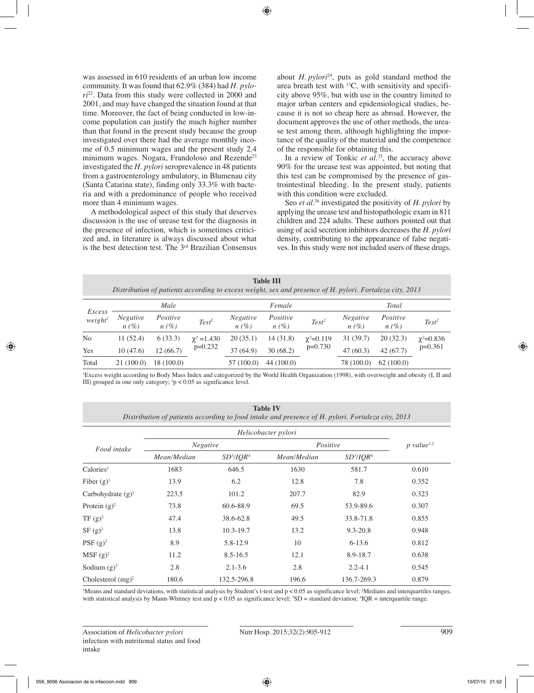was assessed in 610 residents of an urban low income community. It was found that 62.9% (384) had *H. pylori*22. Data from this study were collected in 2000 and 2001, and may have changed the situation found at that time. Moreover, the fact of being conducted in low-income population can justify the much higher number than that found in the present study because the group investigated over there had the average monthly income of 0.5 minimum wages and the present study 2.4 minimum wages. Nogara, Frandoloso and Rezende<sup>23</sup> investigated the *H. pylori* seroprevalence in 48 patients from a gastroenterology ambulatory, in Blumenau city (Santa Catarina state), finding only 33.3% with bacteria and with a predominance of people who received more than 4 minimum wages.

A methodological aspect of this study that deserves discussion is the use of urease test for the diagnosis in the presence of infection, which is sometimes criticized and, in literature is always discussed about what is the best detection test. The 3rd Brazilian Consensus about *H. pylori*24, puts as gold standard method the urea breath test with 13C, with sensitivity and specificity above 95%, but with use in the country limited to major urban centers and epidemiological studies, because it is not so cheap here as abroad. However, the document approves the use of other methods, the urease test among them, although highlighting the importance of the quality of the material and the competence of the responsible for obtaining this.

In a review of Tonkic *et al.*<sup>25</sup>, the accuracy above 90% for the urease test was appointed, but noting that this test can be compromised by the presence of gastrointestinal bleeding. In the present study, patients with this condition were excluded.

Seo *et al.*26 investigated the positivity of *H. pylori* by applying the urease test and histopathologic exam in 811 children and 224 adults. These authors pointed out that using of acid secretion inhibitors decreases the *H. pylori* density, contributing to the appearance of false negatives. In this study were not included users of these drugs.

|                               |                         |                     |                    |                         | . <i>.</i>          |                   |                            | Distribution of patients according to excess weight, sex and presence of H. pylori. Fortaleza city, 2013 |                  |
|-------------------------------|-------------------------|---------------------|--------------------|-------------------------|---------------------|-------------------|----------------------------|----------------------------------------------------------------------------------------------------------|------------------|
|                               | Male                    |                     |                    | Female                  |                     |                   | Total                      |                                                                                                          |                  |
| Excess<br>weight <sup>1</sup> | <b>Negative</b><br>n(%) | Positive<br>$n(\%)$ | Test <sup>2</sup>  | <b>Negative</b><br>n(%) | Positive<br>$n(\%)$ | Test <sup>2</sup> | <b>Negative</b><br>$n(\%)$ | Positive<br>$n(\%)$                                                                                      | $Test^2$         |
| No                            | 11(52.4)                | 6(33.3)             | $\gamma^2 = 1.430$ | 20(35.1)                | 14(31.8)            | $\chi^2 = 0.119$  | 31(39.7)                   | 20(32.3)                                                                                                 | $\chi^2 = 0.836$ |
| Yes                           | 10(47.6)                | 12(66.7)            | $p=0.232$          | 37(64.9)                | 30(68.2)            | $p=0.730$         | 47(60.3)                   | 42(67.7)                                                                                                 | $p=0.361$        |
| Total                         | 21 (100.0)              | 18 (100.0)          |                    | 57 (100.0)              | 44 (100.0)          |                   | 78 (100.0)                 | 62(100.0)                                                                                                |                  |

**Table III**

1 Excess weight according to Body Mass Index and categorized by the World Health Organization (1998), with overweight and obesity (I, II and III) grouped in one only category;  $\frac{2}{p}$  < 0.05 as significance level.

**Table IV**

|                       | Helicobacter pylori |               |             |                          |       |  |  |  |
|-----------------------|---------------------|---------------|-------------|--------------------------|-------|--|--|--|
| Food intake           | <b>Negative</b>     |               | Positive    | $p$ value <sup>1,2</sup> |       |  |  |  |
|                       | Mean/Median         | $SD^3/IQR^4$  | Mean/Median | $SD^3/IQR^4$             |       |  |  |  |
| Calories <sup>1</sup> | 1683                | 646.5         | 1630        | 581.7                    | 0.610 |  |  |  |
| Fiber $(g)^1$         | 13.9                | 6.2           | 12.8        | 7.8                      | 0.352 |  |  |  |
| Carbohydrate $(g)^1$  | 223.5               | 101.2         | 207.7       | 82.9                     | 0.323 |  |  |  |
| Protein $(g)^2$       | 73.8                | 60.6-88.9     | 69.5        | 53.9-89.6                | 0.307 |  |  |  |
| TF $(g)^2$            | 47.4                | 38.6-62.8     | 49.5        | 33.8-71.8                | 0.855 |  |  |  |
| SF (g) <sup>2</sup>   | 13.8                | $10.3 - 19.7$ | 13.2        | $9.3 - 20.8$             | 0.948 |  |  |  |
| PSF $(g)^2$           | 8.9                 | 5.8-12.9      | 10          | $6 - 13.6$               | 0.812 |  |  |  |
| MSF (g) <sup>2</sup>  | 11.2                | $8.5 - 16.5$  | 12.1        | 8.9-18.7                 | 0.638 |  |  |  |
| Sodium $(g)^2$        | 2.8                 | $2.1 - 3.6$   | 2.8         | $2.2 - 4.1$              | 0.545 |  |  |  |
| Cholesterol $(mg)^2$  | 180.6               | 132.5-296.8   | 196.6       | 136.7-269.3              | 0.879 |  |  |  |

Means and standard deviations, with statistical analysis by Student's t-test and  $p < 0.05$  as significance level; 2Medians and interquartiles ranges, with statistical analysis by Mann-Whitney test and  $p < 0.05$  as significance level;  ${}^{3}SD =$  standard deviation;  ${}^{4}IQR =$  interquartile range.

Association of *Helicobacter pylori* Nutr Hosp. 2015;32(2):905-912 909 infection with nutritional status and food intake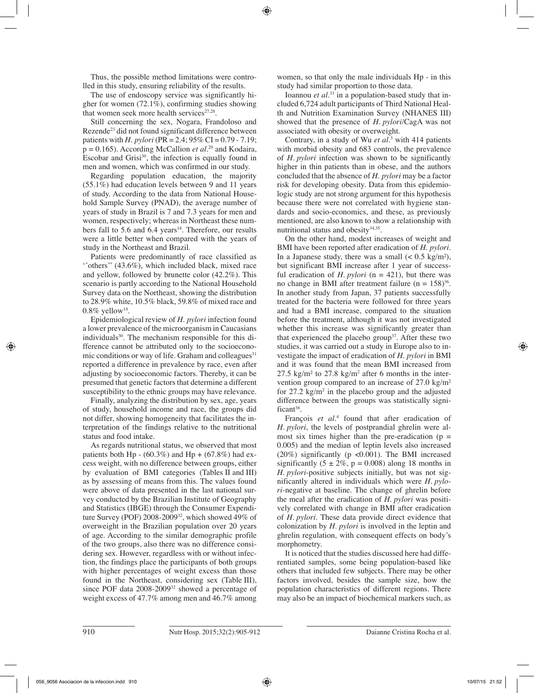Thus, the possible method limitations were controlled in this study, ensuring reliability of the results.

The use of endoscopy service was significantly higher for women (72.1%), confirming studies showing that women seek more health services $27.28$ .

Still concerning the sex, Nogara, Frandoloso and Rezende23 did not found significant difference between patients with *H. pylori* (PR = 2.4; 95% CI = 0.79 - 7.19;  $p = 0.165$ ). According McCallion *et al.*<sup>29</sup> and Kodaira, Escobar and Grisi $30$ , the infection is equally found in men and women, which was confirmed in our study.

Regarding population education, the majority (55.1%) had education levels between 9 and 11 years of study. According to the data from National Household Sample Survey (PNAD), the average number of years of study in Brazil is 7 and 7.3 years for men and women, respectively; whereas in Northeast these numbers fall to  $5.6$  and  $6.4$  years<sup>14</sup>. Therefore, our results were a little better when compared with the years of study in the Northeast and Brazil.

Patients were predominantly of race classified as ''others'' (43.6%), which included black, mixed race and yellow, followed by brunette color (42.2%). This scenario is partly according to the National Household Survey data on the Northeast, showing the distribution to 28.9% white, 10.5% black, 59.8% of mixed race and  $0.8\%$  yellow<sup>14</sup>.

Epidemiological review of *H. pylori* infection found a lower prevalence of the microorganism in Caucasians individuals<sup>30</sup>. The mechanism responsible for this difference cannot be attributed only to the socioeconomic conditions or way of life. Graham and colleagues $31$ reported a difference in prevalence by race, even after adjusting by socioeconomic factors. Thereby, it can be presumed that genetic factors that determine a different susceptibility to the ethnic groups may have relevance.

Finally, analyzing the distribution by sex, age, years of study, household income and race, the groups did not differ, showing homogeneity that facilitates the interpretation of the findings relative to the nutritional status and food intake.

As regards nutritional status, we observed that most patients both Hp -  $(60.3\%)$  and Hp +  $(67.8\%)$  had excess weight, with no difference between groups, either by evaluation of BMI categories (Tables II and III) as by assessing of means from this. The values found were above of data presented in the last national survey conducted by the Brazilian Institute of Geography and Statistics (IBGE) through the Consumer Expenditure Survey (POF) 2008-2009<sup>32</sup>, which showed 49% of overweight in the Brazilian population over 20 years of age. According to the similar demographic profile of the two groups, also there was no difference considering sex. However, regardless with or without infection, the findings place the participants of both groups with higher percentages of weight excess than those found in the Northeast, considering sex (Table III), since POF data 2008-2009<sup>32</sup> showed a percentage of weight excess of 47.7% among men and 46.7% among

women, so that only the male individuals Hp - in this study had similar proportion to those data.

Ioannou *et al.*33 in a population-based study that included 6,724 adult participants of Third National Health and Nutrition Examination Survey (NHANES III) showed that the presence of *H. pylori*/CagA was not associated with obesity or overweight.

Contrary, in a study of Wu *et al.*<sup>3</sup> with 414 patients with morbid obesity and 683 controls, the prevalence of *H. pylori* infection was shown to be significantly higher in thin patients than in obese, and the authors concluded that the absence of *H. pylori* may be a factor risk for developing obesity. Data from this epidemiologic study are not strong argument for this hypothesis because there were not correlated with hygiene standards and socio-economics, and these, as previously mentioned, are also known to show a relationship with nutritional status and obesity<sup>34,35</sup>.

On the other hand, modest increases of weight and BMI have been reported after eradication of *H. pylori*. In a Japanese study, there was a small  $(< 0.5 \text{ kg/m}^2)$ , but significant BMI increase after 1 year of successful eradication of *H. pylori* ( $n = 421$ ), but there was no change in BMI after treatment failure ( $n = 158$ )<sup>36</sup>. In another study from Japan, 37 patients successfully treated for the bacteria were followed for three years and had a BMI increase, compared to the situation before the treatment, although it was not investigated whether this increase was significantly greater than that experienced the placebo group<sup>37</sup>. After these two studies, it was carried out a study in Europe also to investigate the impact of eradication of *H. pylori* in BMI and it was found that the mean BMI increased from  $27.5 \text{ kg/m}^2$  to  $27.8 \text{ kg/m}^2$  after 6 months in the intervention group compared to an increase of 27.0 kg/m² for  $27.2 \text{ kg/m}^2$  in the placebo group and the adjusted difference between the groups was statistically significant<sup>38</sup>.

François *et al.*<sup>4</sup> found that after eradication of *H. pylori*, the levels of postprandial ghrelin were almost six times higher than the pre-eradication ( $p =$ 0.005) and the median of leptin levels also increased (20%) significantly ( $p \le 0.001$ ). The BMI increased significantly  $(5 \pm 2\%, p = 0.008)$  along 18 months in *H. pylori*-positive subjects initially, but was not significantly altered in individuals which were *H. pylori*-negative at baseline. The change of ghrelin before the meal after the eradication of *H. pylori* was positively correlated with change in BMI after eradication of *H. pylori*. These data provide direct evidence that colonization by *H. pylori* is involved in the leptin and ghrelin regulation, with consequent effects on body's morphometry.

It is noticed that the studies discussed here had differentiated samples, some being population-based like others that included few subjects. There may be other factors involved, besides the sample size, how the population characteristics of different regions. There may also be an impact of biochemical markers such, as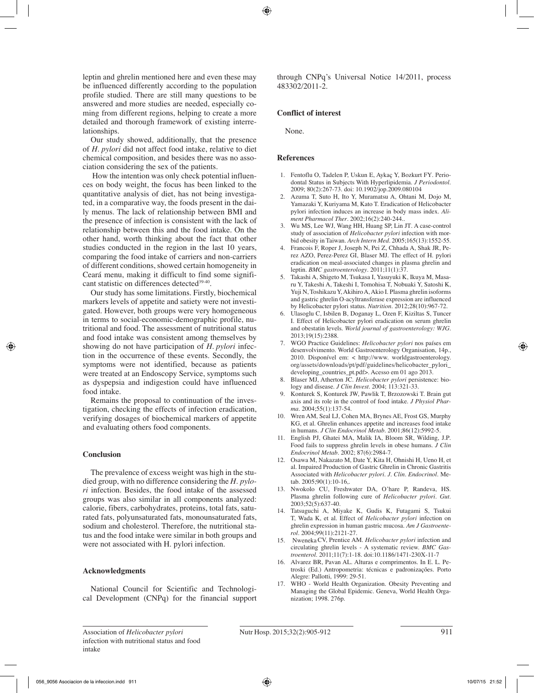leptin and ghrelin mentioned here and even these may be influenced differently according to the population profile studied. There are still many questions to be answered and more studies are needed, especially coming from different regions, helping to create a more detailed and thorough framework of existing interrelationships.

Our study showed, additionally, that the presence of *H. pylori* did not affect food intake, relative to diet chemical composition, and besides there was no association considering the sex of the patients.

 How the intention was only check potential influences on body weight, the focus has been linked to the quantitative analysis of diet, has not being investigated, in a comparative way, the foods present in the daily menus. The lack of relationship between BMI and the presence of infection is consistent with the lack of relationship between this and the food intake. On the other hand, worth thinking about the fact that other studies conducted in the region in the last 10 years, comparing the food intake of carriers and non-carriers of different conditions, showed certain homogeneity in Ceará menu, making it difficult to find some significant statistic on differences detected<sup>39-40</sup>.

Our study has some limitations. Firstly, biochemical markers levels of appetite and satiety were not investigated. However, both groups were very homogeneous in terms to social-economic-demographic profile, nutritional and food. The assessment of nutritional status and food intake was consistent among themselves by showing do not have participation of *H. pylori* infection in the occurrence of these events. Secondly, the symptoms were not identified, because as patients were treated at an Endoscopy Service, symptoms such as dyspepsia and indigestion could have influenced food intake.

Remains the proposal to continuation of the investigation, checking the effects of infection eradication, verifying dosages of biochemical markers of appetite and evaluating others food components.

# **Conclusion**

The prevalence of excess weight was high in the studied group, with no difference considering the *H. pylori* infection. Besides, the food intake of the assessed groups was also similar in all components analyzed: calorie, fibers, carbohydrates, proteins, total fats, saturated fats, polyunsaturated fats, monounsaturated fats, sodium and cholesterol. Therefore, the nutritional status and the food intake were similar in both groups and were not associated with H. pylori infection.

#### **Acknowledgments**

National Council for Scientific and Technological Development (CNPq) for the financial support through CNPq's Universal Notice 14/2011, process 483302/2011-2.

## **Conflict of interest**

None.

#### **References**

- 1. Fentoflu O, Tadelen P, Uskun E, Aykaç Y, Bozkurt FY*.* Periodontal Status in Subjects With Hyperlipidemia. *J Periodontol*. 2009; 80(2):267-73. doi: 10.1902/jop.2009.080104
- 2. Azuma T, Suto H, Ito Y, Muramatsu A, Ohtani M, Dojo M, Yamazaki Y, Kuriyama M, Kato T. Eradication of Helicobacter pylori infection induces an increase in body mass index. *Aliment Pharmacol Ther*. 2002;16(2):240-244..
- 3. Wu MS, Lee WJ, Wang HH, Huang SP, Lin JT*.* A case-control study of association of *Helicobacter pylori* infection with morbid obesity in Taiwan. *Arch Intern Med*. 2005;165(13):1552-55.
- 4. Francois F, Roper J, Joseph N, Pei Z, Chhada A, Shak JR, Perez AZO, Perez-Perez GI, Blaser MJ. The effect of H. pylori eradication on meal-associated changes in plasma ghrelin and leptin. *BMC gastroenterology*. 2011;11(1):37.
- 5. Takashi A, Shigeto M, Tsukasa I, Yasuyuki K, Ikuya M, Masaru Y, Takeshi A, Takeshi I, Tomohisa T, Nobuaki Y, Satoshi K, Yuji N, Toshikazu Y, Akihiro A, Akio I. Plasma ghrelin isoforms and gastric ghrelin O-acyltransferase expression are influenced by Helicobacter pylori status. *Nutrition*. 2012;28(10):967-72.
- 6. Ulasoglu C, Isbilen B, Doganay L, Ozen F, Kiziltas S, Tuncer I. Effect of Helicobacter pylori eradication on serum ghrelin and obestatin levels. *World journal of gastroenterology: WJG*. 2013;19(15):2388.
- 7. WGO Practice Guidelines: *Helicobacter pylori* nos países em desenvolvimento. World Gastroenterology Organisation, 14p., 2010. Disponível em: < http://www. worldgastroenterology. org/assets/downloads/pt/pdf/guidelines/helicobacter\_pylori\_ developing\_countries\_pt.pdf>. Acesso em 01 ago 2013.
- 8. Blaser MJ, Atherton JC. *Helicobacter pylori* persistence: biology and disease. *J Clin Invest*. 2004; 113:321-33.
- 9. Konturek S, Konturek JW, Pawlik T, Brzozowski T. Brain gut axis and its role in the control of food intake. *J Physiol Pharma*. 2004;55(1):137-54.
- 10. Wren AM, Seal LJ, Cohen MA, Brynes AE, Frost GS, Murphy KG, et al*.* Ghrelin enhances appetite and increases food intake in humans. *J Clin Endocrinol Metab*. 2001;86(12):5992-5.
- 11. English PJ, Ghatei MA, Malik IA, Bloom SR, Wilding, J.P*.* Food fails to suppress ghrelin levels in obese humans. *J Clin Endocrinol Metab*. 2002; 87(6):2984-7.
- 12. Osawa M, Nakazato M, Date Y, Kita H, Ohnishi H, Ueno H, et al*.* Impaired Production of Gastric Ghrelin in Chronic Gastritis Associated with *Helicobacter pylori. J. Clin. Endocrinol*. Metab. 2005;90(1):10-16,.
- 13. Nwokolo CU, Freshwater DA, O'hare P, Randeva, HS. Plasma ghrelin following cure of *Helicobacter pylori*. *Gut*. 2003;52(5):637-40.
- 14. Tatsuguchi A, Miyake K, Gudis K, Futagami S, Tsukui T, Wada K, et al*.* Effect of *Helicobacter pylori* infection on ghrelin expression in human gastric mucosa. *Am J Gastroenterol*. 2004;99(11):2121-27.
- 15. NwenekaCV, Prentice AM. *Helicobacter pylori* infection and circulating ghrelin levels - A systematic review. *BMC Gastroenterol*. 2011;11(7):1-18. doi:10.1186/1471-230X-11-7
- 16. Alvarez BR, Pavan AL. Alturas e comprimentos. In E. L. Petroski (Ed.) Antropometria: técnicas e padronizações. Porto Alegre: Pallotti, 1999: 29-51.
- 17. WHO World Health Organization. Obesity Preventing and Managing the Global Epidemic. Geneva, World Health Organization; 1998. 276p.